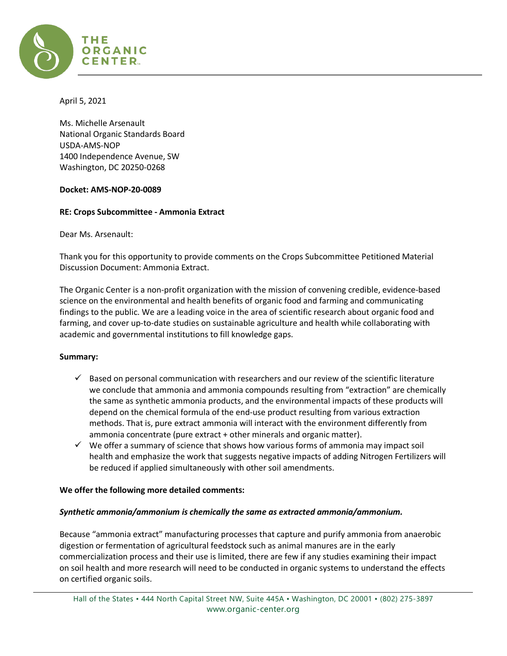

#### April 5, 2021

Ms. Michelle Arsenault National Organic Standards Board USDA-AMS-NOP 1400 Independence Avenue, SW Washington, DC 20250-0268

### **Docket: AMS-NOP-20-0089**

### **RE: Crops Subcommittee - Ammonia Extract**

Dear Ms. Arsenault:

Thank you for this opportunity to provide comments on the Crops Subcommittee Petitioned Material Discussion Document: Ammonia Extract.

The Organic Center is a non-profit organization with the mission of convening credible, evidence-based science on the environmental and health benefits of organic food and farming and communicating findings to the public. We are a leading voice in the area of scientific research about organic food and farming, and cover up-to-date studies on sustainable agriculture and health while collaborating with academic and governmental institutions to fill knowledge gaps.

### **Summary:**

- $\checkmark$  Based on personal communication with researchers and our review of the scientific literature we conclude that ammonia and ammonia compounds resulting from "extraction" are chemically the same as synthetic ammonia products, and the environmental impacts of these products will depend on the chemical formula of the end-use product resulting from various extraction methods. That is, pure extract ammonia will interact with the environment differently from ammonia concentrate (pure extract + other minerals and organic matter).
- $\checkmark$  We offer a summary of science that shows how various forms of ammonia may impact soil health and emphasize the work that suggests negative impacts of adding Nitrogen Fertilizers will be reduced if applied simultaneously with other soil amendments.

### **We offer the following more detailed comments:**

### *Synthetic ammonia/ammonium is chemically the same as extracted ammonia/ammonium.*

Because "ammonia extract" manufacturing processes that capture and purify ammonia from anaerobic digestion or fermentation of agricultural feedstock such as animal manures are in the early commercialization process and their use is limited, there are few if any studies examining their impact on soil health and more research will need to be conducted in organic systems to understand the effects on certified organic soils.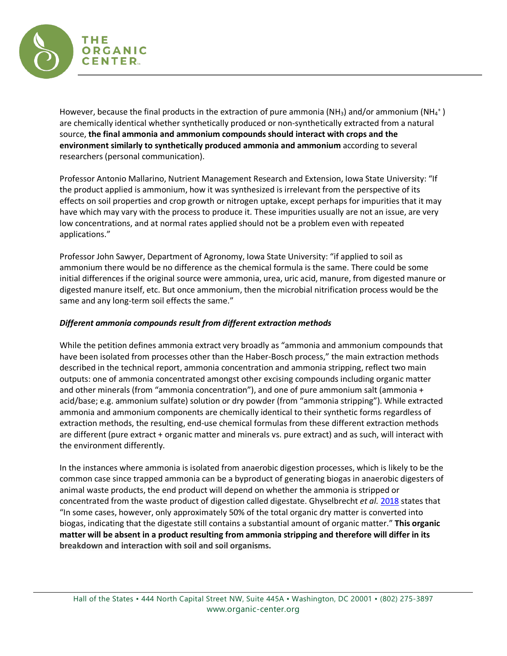

However, because the final products in the extraction of pure ammonia (NH<sub>3</sub>) and/or ammonium (NH<sub>4</sub><sup>+</sup>) are chemically identical whether synthetically produced or non-synthetically extracted from a natural source, **the final ammonia and ammonium compounds should interact with crops and the environment similarly to synthetically produced ammonia and ammonium** according to several researchers (personal communication).

Professor Antonio Mallarino, Nutrient Management Research and Extension, Iowa State University: "If the product applied is ammonium, how it was synthesized is irrelevant from the perspective of its effects on soil properties and crop growth or nitrogen uptake, except perhaps for impurities that it may have which may vary with the process to produce it. These impurities usually are not an issue, are very low concentrations, and at normal rates applied should not be a problem even with repeated applications."

Professor John Sawyer, Department of Agronomy, Iowa State University: "if applied to soil as ammonium there would be no difference as the chemical formula is the same. There could be some initial differences if the original source were ammonia, urea, uric acid, manure, from digested manure or digested manure itself, etc. But once ammonium, then the microbial nitrification process would be the same and any long-term soil effects the same."

## *Different ammonia compounds result from different extraction methods*

While the petition defines ammonia extract very broadly as "ammonia and ammonium compounds that have been isolated from processes other than the Haber-Bosch process," the main extraction methods described in the technical report, ammonia concentration and ammonia stripping, reflect two main outputs: one of ammonia concentrated amongst other excising compounds including organic matter and other minerals (from "ammonia concentration"), and one of pure ammonium salt (ammonia + acid/base; e.g. ammonium sulfate) solution or dry powder (from "ammonia stripping"). While extracted ammonia and ammonium components are chemically identical to their synthetic forms regardless of extraction methods, the resulting, end-use chemical formulas from these different extraction methods are different (pure extract + organic matter and minerals vs. pure extract) and as such, will interact with the environment differently.

In the instances where ammonia is isolated from anaerobic digestion processes, which is likely to be the common case since trapped ammonia can be a byproduct of generating biogas in anaerobic digesters of animal waste products, the end product will depend on whether the ammonia is stripped or concentrated from the waste product of digestion called digestate. Ghyselbrecht *et al.* [2018](https://link.springer.com/article/10.1007/s40095-018-0283-7) states that "In some cases, however, only approximately 50% of the total organic dry matter is converted into biogas, indicating that the digestate still contains a substantial amount of organic matter." **This organic matter will be absent in a product resulting from ammonia stripping and therefore will differ in its breakdown and interaction with soil and soil organisms.**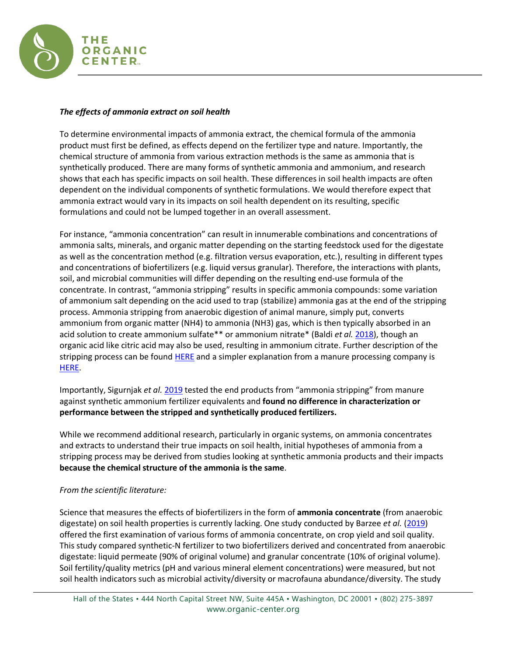

# *The effects of ammonia extract on soil health*

To determine environmental impacts of ammonia extract, the chemical formula of the ammonia product must first be defined, as effects depend on the fertilizer type and nature. Importantly, the chemical structure of ammonia from various extraction methods is the same as ammonia that is synthetically produced. There are many forms of synthetic ammonia and ammonium, and research shows that each has specific impacts on soil health. These differences in soil health impacts are often dependent on the individual components of synthetic formulations. We would therefore expect that ammonia extract would vary in its impacts on soil health dependent on its resulting, specific formulations and could not be lumped together in an overall assessment.

For instance, "ammonia concentration" can result in innumerable combinations and concentrations of ammonia salts, minerals, and organic matter depending on the starting feedstock used for the digestate as well as the concentration method (e.g. filtration versus evaporation, etc.), resulting in different types and concentrations of biofertilizers (e.g. liquid versus granular). Therefore, the interactions with plants, soil, and microbial communities will differ depending on the resulting end-use formula of the concentrate. In contrast, "ammonia stripping" results in specific ammonia compounds: some variation of ammonium salt depending on the acid used to trap (stabilize) ammonia gas at the end of the stripping process. Ammonia stripping from anaerobic digestion of animal manure, simply put, converts ammonium from organic matter (NH4) to ammonia (NH3) gas, which is then typically absorbed in an acid solution to create ammonium sulfate\*\* or ammonium nitrate\* (Baldi *et al.* [2018\)](https://www.mdpi.com/2071-1050/10/9/3073/pdf), though an organic acid like citric acid may also be used, resulting in ammonium citrate. Further description of the stripping process can be found [HERE](https://link.springer.com/article/10.1007/s40095-018-0283-7) and a simpler explanation from a manure processing company is [HERE.](https://www.vcm-mestverwerking.be/en/manureprocessing/11321/ammonia-stripping-scrubbing#:%7E:text=The%20stripping%20gas%2C%20which%20is,ammonium%20sulphate%20solution%20is%20formed.)

Importantly, Sigurnjak *et al.* [2019](https://www.sciencedirect.com/science/article/pii/S0956053X19301758) tested the end products from "ammonia stripping" from manure against synthetic ammonium fertilizer equivalents and **found no difference in characterization or performance between the stripped and synthetically produced fertilizers.**

While we recommend additional research, particularly in organic systems, on ammonia concentrates and extracts to understand their true impacts on soil health, initial hypotheses of ammonia from a stripping process may be derived from studies looking at synthetic ammonia products and their impacts **because the chemical structure of the ammonia is the same**.

# *From the scientific literature:*

Science that measures the effects of biofertilizers in the form of **ammonia concentrate** (from anaerobic digestate) on soil health properties is currently lacking. One study conducted by Barzee *et al.* [\(2019\)](https://www.frontiersin.org/articles/10.3389/fsufs.2019.00058/full) offered the first examination of various forms of ammonia concentrate, on crop yield and soil quality. This study compared synthetic-N fertilizer to two biofertilizers derived and concentrated from anaerobic digestate: liquid permeate (90% of original volume) and granular concentrate (10% of original volume). Soil fertility/quality metrics (pH and various mineral element concentrations) were measured, but not soil health indicators such as microbial activity/diversity or macrofauna abundance/diversity. The study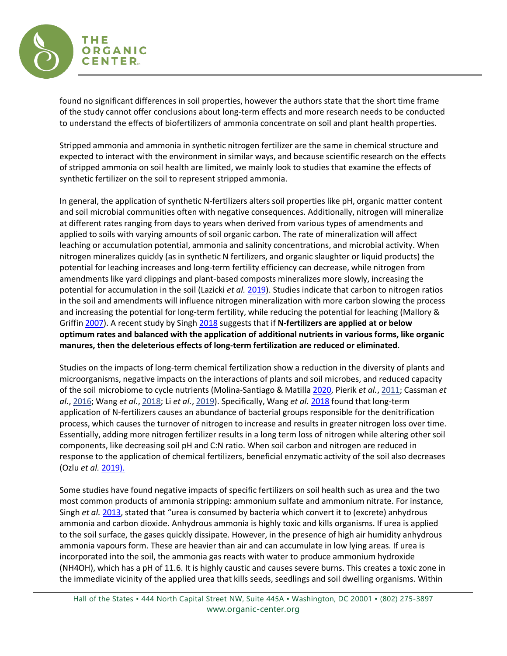

found no significant differences in soil properties, however the authors state that the short time frame of the study cannot offer conclusions about long-term effects and more research needs to be conducted to understand the effects of biofertilizers of ammonia concentrate on soil and plant health properties.

Stripped ammonia and ammonia in synthetic nitrogen fertilizer are the same in chemical structure and expected to interact with the environment in similar ways, and because scientific research on the effects of stripped ammonia on soil health are limited, we mainly look to studies that examine the effects of synthetic fertilizer on the soil to represent stripped ammonia.

In general, the application of synthetic N-fertilizers alters soil properties like pH, organic matter content and soil microbial communities often with negative consequences. Additionally, nitrogen will mineralize at different rates ranging from days to years when derived from various types of amendments and applied to soils with varying amounts of soil organic carbon. The rate of mineralization will affect leaching or accumulation potential, ammonia and salinity concentrations, and microbial activity. When nitrogen mineralizes quickly (as in synthetic N fertilizers, and organic slaughter or liquid products) the potential for leaching increases and long-term fertility efficiency can decrease, while nitrogen from amendments like yard clippings and plant-based composts mineralizes more slowly, increasing the potential for accumulation in the soil (Lazicki *et al.* [2019\)](https://acsess.onlinelibrary.wiley.com/doi/full/10.1002/jeq2.20030). Studies indicate that carbon to nitrogen ratios in the soil and amendments will influence nitrogen mineralization with more carbon slowing the process and increasing the potential for long-term fertility, while reducing the potential for leaching (Mallory & Griffin [2007\)](https://pubag.nal.usda.gov/download/3420/PDF). A recent study by Singh [2018](https://www.mdpi.com/2073-4395/8/4/48) suggests that if **N-fertilizers are applied at or below optimum rates and balanced with the application of additional nutrients in various forms, like organic manures, then the deleterious effects of long-term fertilization are reduced or eliminated**.

Studies on the impacts of long-term chemical fertilization show a reduction in the diversity of plants and microorganisms, negative impacts on the interactions of plants and soil microbes, and reduced capacity of the soil microbiome to cycle nutrients (Molina-Santiago & Matilla [2020,](https://www.ncbi.nlm.nih.gov/pmc/articles/PMC7415358/) Pierik *et al.*, [2011;](https://www.ncbi.nlm.nih.gov/pmc/articles/PMC7415358/#mbt213515-bib-0011) Cassman *et al.*, [2016;](https://www.ncbi.nlm.nih.gov/pmc/articles/PMC7415358/#mbt213515-bib-0003) Wang *et al.*, [2018;](https://www.ncbi.nlm.nih.gov/pmc/articles/PMC7415358/#mbt213515-bib-0017) Li *et al.*, [2019\)](https://www.ncbi.nlm.nih.gov/pmc/articles/PMC7415358/#mbt213515-bib-0007). Specifically, Wang *et al.* [2018](https://www.frontiersin.org/articles/10.3389/fmicb.2018.02424/full) found that long-term application of N-fertilizers causes an abundance of bacterial groups responsible for the denitrification process, which causes the turnover of nitrogen to increase and results in greater nitrogen loss over time. Essentially, adding more nitrogen fertilizer results in a long term loss of nitrogen while altering other soil components, like decreasing soil pH and C:N ratio. When soil carbon and nitrogen are reduced in response to the application of chemical fertilizers, beneficial enzymatic activity of the soil also decreases (Ozlu *et al.* [2019\)](https://www.nature.com/articles/s41598-019-48207-z#Sec7).

Some studies have found negative impacts of specific fertilizers on soil health such as urea and the two most common products of ammonia stripping: ammonium sulfate and ammonium nitrate. For instance, Singh *et al.* [2013,](https://gvpress.com/journals/IJBSBT/vol5_no1/4.pdf) stated that "urea is consumed by bacteria which convert it to (excrete) anhydrous ammonia and carbon dioxide. Anhydrous ammonia is highly toxic and kills organisms. If urea is applied to the soil surface, the gases quickly dissipate. However, in the presence of high air humidity anhydrous ammonia vapours form. These are heavier than air and can accumulate in low lying areas. If urea is incorporated into the soil, the ammonia gas reacts with water to produce ammonium hydroxide (NH4OH), which has a pH of 11.6. It is highly caustic and causes severe burns. This creates a toxic zone in the immediate vicinity of the applied urea that kills seeds, seedlings and soil dwelling organisms. Within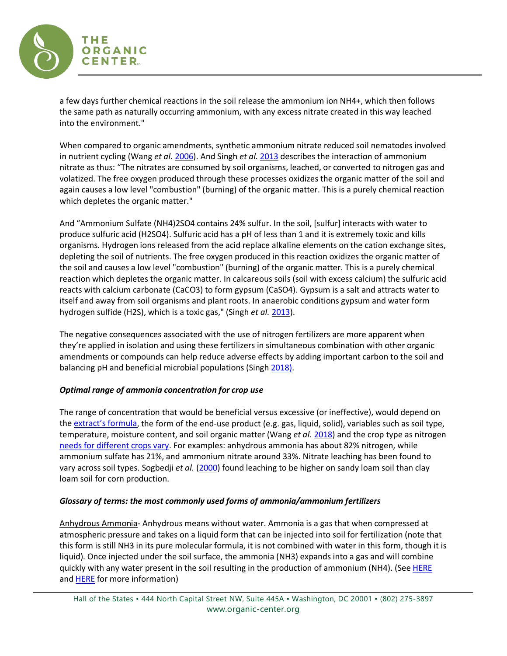

a few days further chemical reactions in the soil release the ammonium ion NH4+, which then follows the same path as naturally occurring ammonium, with any excess nitrate created in this way leached into the environment."

When compared to organic amendments, synthetic ammonium nitrate reduced soil nematodes involved in nutrient cycling (Wang *et al.* [2006\)](https://www.sciencedirect.com/science/article/abs/pii/S0929139305001290). And Singh *et al.* [2013](https://gvpress.com/journals/IJBSBT/vol5_no1/4.pdf) describes the interaction of ammonium nitrate as thus: "The nitrates are consumed by soil organisms, leached, or converted to nitrogen gas and volatized. The free oxygen produced through these processes oxidizes the organic matter of the soil and again causes a low level "combustion" (burning) of the organic matter. This is a purely chemical reaction which depletes the organic matter."

And "Ammonium Sulfate (NH4)2SO4 contains 24% sulfur. In the soil, [sulfur] interacts with water to produce sulfuric acid (H2SO4). Sulfuric acid has a pH of less than 1 and it is extremely toxic and kills organisms. Hydrogen ions released from the acid replace alkaline elements on the cation exchange sites, depleting the soil of nutrients. The free oxygen produced in this reaction oxidizes the organic matter of the soil and causes a low level "combustion" (burning) of the organic matter. This is a purely chemical reaction which depletes the organic matter. In calcareous soils (soil with excess calcium) the sulfuric acid reacts with calcium carbonate (CaCO3) to form gypsum (CaSO4). Gypsum is a salt and attracts water to itself and away from soil organisms and plant roots. In anaerobic conditions gypsum and water form hydrogen sulfide (H2S), which is a toxic gas," (Singh *et al.* [2013\)](https://gvpress.com/journals/IJBSBT/vol5_no1/4.pdf).

The negative consequences associated with the use of nitrogen fertilizers are more apparent when they're applied in isolation and using these fertilizers in simultaneous combination with other organic amendments or compounds can help reduce adverse effects by adding important carbon to the soil and balancing pH and beneficial microbial populations (Singh [2018\)](https://www.mdpi.com/2073-4395/8/4/48).

# *Optimal range of ammonia concentration for crop use*

The range of concentration that would be beneficial versus excessive (or ineffective), would depend on the [extract's formula,](https://www.canr.msu.edu/news/nitrogen_cycle_and_nitrogen_fertilizer_sources_part_2) the form of the end-use product (e.g. gas, liquid, solid), variables such as soil type, temperature, moisture content, and soil organic matter (Wang *et al.* [2018\)](https://www.researchgate.net/profile/Wang-Xiukang/publication/328084183_The_Effects_of_Mulch_and_Nitrogen_Fertilizer_on_the_Soil_Environment_of_Crop_Plants/links/5e75592ea6fdcccd6211fe85/The-Effects-of-Mulch-and-Nitrogen-Fertilizer-on-the-Soil-Environment-of-Crop-Plants.pdf) and the crop type as nitrogen [needs for different crops vary.](https://www.cropnutrition.com/nutrient-management/nitrogen) For examples: anhydrous ammonia has about 82% nitrogen, while ammonium sulfate has 21%, and ammonium nitrate around 33%. Nitrate leaching has been found to vary across soil types. Sogbedji *et al.* [\(2000\)](https://acsess.onlinelibrary.wiley.com/doi/abs/10.2134/jeq2000.00472425002900060011x) found leaching to be higher on sandy loam soil than clay loam soil for corn production.

### *Glossary of terms: the most commonly used forms of ammonia/ammonium fertilizers*

Anhydrous Ammonia- Anhydrous means without water. Ammonia is a gas that when compressed at atmospheric pressure and takes on a liquid form that can be injected into soil for fertilization (note that this form is still NH3 in its pure molecular formula, it is not combined with water in this form, though it is liquid). Once injected under the soil surface, the ammonia (NH3) expands into a gas and will combine quickly with any water present in the soil resulting in the production of ammonium (NH4). (Se[e HERE](https://www.extension.purdue.edu/extmedia/ay/ay-204.html#:%7E:text=Ammonia%20(NH3)%20and%20Ammonium%20(NH4)%20Forms&text=When%20anhydrous%20is%20applied%2C%20the,injected%20under%20the%20soil%20surface.) and [HERE](https://nasdonline.org/1085/d000875/using-agricultural-anhydrous-ammonia-safely.html) for more information)